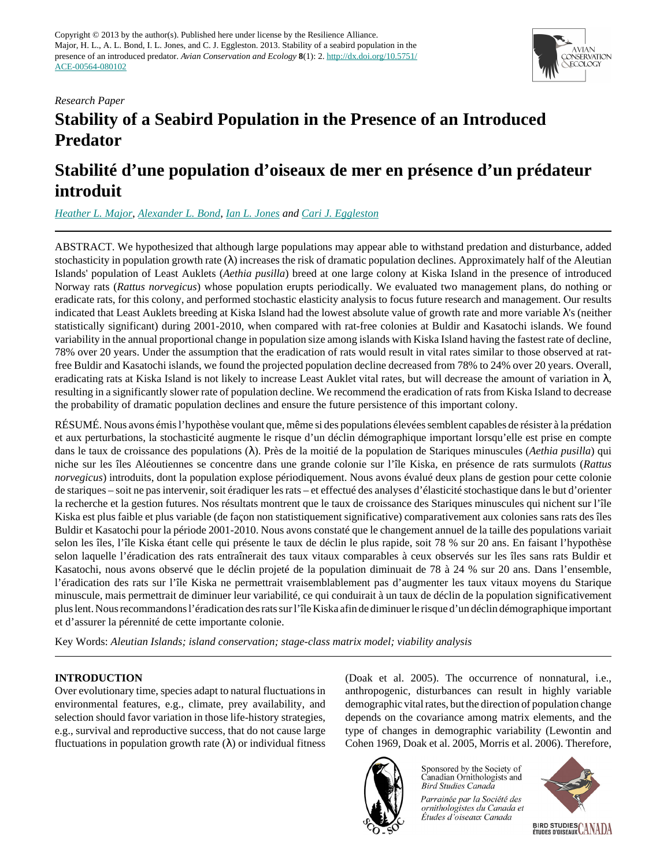

*Research Paper*

# **Stability of a Seabird Population in the Presence of an Introduced Predator**

## **Stabilité d'une population d'oiseaux de mer en présence d'un prédateur introduit**

*[Heather L. Major](mailto:heather.major3@gmail.com)*, *[Alexander L. Bond](mailto:alex.bond@usask.ca)*, *[Ian L. Jones](mailto:iljones@mun.ca) and [Cari J. Eggleston](mailto:carie@mun.ca)*

ABSTRACT. We hypothesized that although large populations may appear able to withstand predation and disturbance, added stochasticity in population growth rate  $(\lambda)$  increases the risk of dramatic population declines. Approximately half of the Aleutian Islands' population of Least Auklets (*Aethia pusilla*) breed at one large colony at Kiska Island in the presence of introduced Norway rats (*Rattus norvegicus*) whose population erupts periodically. We evaluated two management plans, do nothing or eradicate rats, for this colony, and performed stochastic elasticity analysis to focus future research and management. Our results indicated that Least Auklets breeding at Kiska Island had the lowest absolute value of growth rate and more variable λ's (neither statistically significant) during 2001-2010, when compared with rat-free colonies at Buldir and Kasatochi islands. We found variability in the annual proportional change in population size among islands with Kiska Island having the fastest rate of decline, 78% over 20 years. Under the assumption that the eradication of rats would result in vital rates similar to those observed at ratfree Buldir and Kasatochi islands, we found the projected population decline decreased from 78% to 24% over 20 years. Overall, eradicating rats at Kiska Island is not likely to increase Least Auklet vital rates, but will decrease the amount of variation in  $\lambda$ , resulting in a significantly slower rate of population decline. We recommend the eradication of rats from Kiska Island to decrease the probability of dramatic population declines and ensure the future persistence of this important colony.

RÉSUMÉ. Nous avons émis l'hypothèse voulant que, même si des populations élevées semblent capables de résister à la prédation et aux perturbations, la stochasticité augmente le risque d'un déclin démographique important lorsqu'elle est prise en compte dans le taux de croissance des populations (λ). Près de la moitié de la population de Stariques minuscules (*Aethia pusilla*) qui niche sur les îles Aléoutiennes se concentre dans une grande colonie sur l'île Kiska, en présence de rats surmulots (*Rattus norvegicus*) introduits, dont la population explose périodiquement. Nous avons évalué deux plans de gestion pour cette colonie de stariques – soit ne pas intervenir, soit éradiquer les rats – et effectué des analyses d'élasticité stochastique dans le but d'orienter la recherche et la gestion futures. Nos résultats montrent que le taux de croissance des Stariques minuscules qui nichent sur l'île Kiska est plus faible et plus variable (de façon non statistiquement significative) comparativement aux colonies sans rats des îles Buldir et Kasatochi pour la période 2001-2010. Nous avons constaté que le changement annuel de la taille des populations variait selon les îles, l'île Kiska étant celle qui présente le taux de déclin le plus rapide, soit 78 % sur 20 ans. En faisant l'hypothèse selon laquelle l'éradication des rats entraînerait des taux vitaux comparables à ceux observés sur les îles sans rats Buldir et Kasatochi, nous avons observé que le déclin projeté de la population diminuait de 78 à 24 % sur 20 ans. Dans l'ensemble, l'éradication des rats sur l'île Kiska ne permettrait vraisemblablement pas d'augmenter les taux vitaux moyens du Starique minuscule, mais permettrait de diminuer leur variabilité, ce qui conduirait à un taux de déclin de la population significativement plus lent. Nous recommandons l'éradication des rats sur l'île Kiska afin de diminuer le risque d'un déclin démographique important et d'assurer la pérennité de cette importante colonie.

Key Words: *Aleutian Islands; island conservation; stage-class matrix model; viability analysis*

## **INTRODUCTION**

Over evolutionary time, species adapt to natural fluctuations in environmental features, e.g., climate, prey availability, and selection should favor variation in those life-history strategies, e.g., survival and reproductive success, that do not cause large fluctuations in population growth rate  $(\lambda)$  or individual fitness (Doak et al. 2005). The occurrence of nonnatural, i.e., anthropogenic, disturbances can result in highly variable demographic vital rates, but the direction of population change depends on the covariance among matrix elements, and the type of changes in demographic variability (Lewontin and Cohen 1969, Doak et al. 2005, Morris et al. 2006). Therefore,



Canadian Ornithologists and **Bird Studies Canada** Parrainée par la Société des ornithologistes du Canada et Études d'oiseaux Canada

Sponsored by the Society of

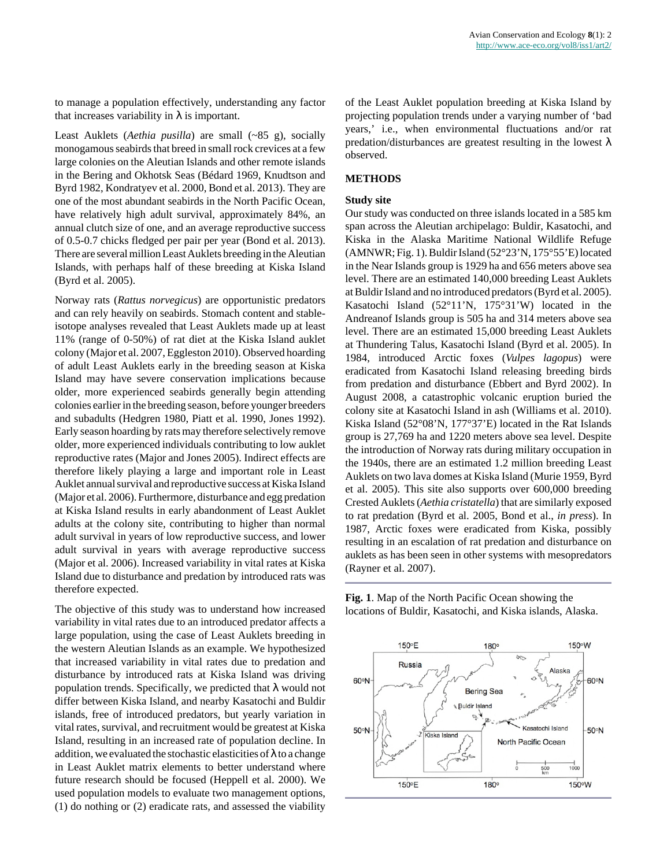to manage a population effectively, understanding any factor that increases variability in  $\lambda$  is important.

Least Auklets (*Aethia pusilla*) are small (~85 g), socially monogamous seabirds that breed in small rock crevices at a few large colonies on the Aleutian Islands and other remote islands in the Bering and Okhotsk Seas (Bédard 1969, Knudtson and Byrd 1982, Kondratyev et al. 2000, Bond et al. 2013). They are one of the most abundant seabirds in the North Pacific Ocean, have relatively high adult survival, approximately 84%, an annual clutch size of one, and an average reproductive success of 0.5-0.7 chicks fledged per pair per year (Bond et al. 2013). There are several million Least Auklets breeding in the Aleutian Islands, with perhaps half of these breeding at Kiska Island (Byrd et al. 2005).

Norway rats (*Rattus norvegicus*) are opportunistic predators and can rely heavily on seabirds. Stomach content and stableisotope analyses revealed that Least Auklets made up at least 11% (range of 0-50%) of rat diet at the Kiska Island auklet colony (Major et al. 2007, Eggleston 2010). Observed hoarding of adult Least Auklets early in the breeding season at Kiska Island may have severe conservation implications because older, more experienced seabirds generally begin attending colonies earlier in the breeding season, before younger breeders and subadults (Hedgren 1980, Piatt et al. 1990, Jones 1992). Early season hoarding by rats may therefore selectively remove older, more experienced individuals contributing to low auklet reproductive rates (Major and Jones 2005). Indirect effects are therefore likely playing a large and important role in Least Auklet annual survival and reproductive success at Kiska Island (Major et al. 2006). Furthermore, disturbance and egg predation at Kiska Island results in early abandonment of Least Auklet adults at the colony site, contributing to higher than normal adult survival in years of low reproductive success, and lower adult survival in years with average reproductive success (Major et al. 2006). Increased variability in vital rates at Kiska Island due to disturbance and predation by introduced rats was therefore expected.

The objective of this study was to understand how increased variability in vital rates due to an introduced predator affects a large population, using the case of Least Auklets breeding in the western Aleutian Islands as an example. We hypothesized that increased variability in vital rates due to predation and disturbance by introduced rats at Kiska Island was driving population trends. Specifically, we predicted that  $\lambda$  would not differ between Kiska Island, and nearby Kasatochi and Buldir islands, free of introduced predators, but yearly variation in vital rates, survival, and recruitment would be greatest at Kiska Island, resulting in an increased rate of population decline. In addition, we evaluated the stochastic elasticities of  $\lambda$  to a change in Least Auklet matrix elements to better understand where future research should be focused (Heppell et al. 2000). We used population models to evaluate two management options, (1) do nothing or (2) eradicate rats, and assessed the viability of the Least Auklet population breeding at Kiska Island by projecting population trends under a varying number of 'bad years,' i.e., when environmental fluctuations and/or rat predation/disturbances are greatest resulting in the lowest  $\lambda$ observed.

## **METHODS**

#### **Study site**

Our study was conducted on three islands located in a 585 km span across the Aleutian archipelago: Buldir, Kasatochi, and Kiska in the Alaska Maritime National Wildlife Refuge (AMNWR; Fig. 1). Buldir Island (52°23'N, 175°55'E) located in the Near Islands group is 1929 ha and 656 meters above sea level. There are an estimated 140,000 breeding Least Auklets at Buldir Island and no introduced predators (Byrd et al. 2005). Kasatochi Island (52°11'N, 175°31'W) located in the Andreanof Islands group is 505 ha and 314 meters above sea level. There are an estimated 15,000 breeding Least Auklets at Thundering Talus, Kasatochi Island (Byrd et al. 2005). In 1984, introduced Arctic foxes (*Vulpes lagopus*) were eradicated from Kasatochi Island releasing breeding birds from predation and disturbance (Ebbert and Byrd 2002). In August 2008, a catastrophic volcanic eruption buried the colony site at Kasatochi Island in ash (Williams et al. 2010). Kiska Island (52°08'N, 177°37'E) located in the Rat Islands group is 27,769 ha and 1220 meters above sea level. Despite the introduction of Norway rats during military occupation in the 1940s, there are an estimated 1.2 million breeding Least Auklets on two lava domes at Kiska Island (Murie 1959, Byrd et al. 2005). This site also supports over 600,000 breeding Crested Auklets (*Aethia cristatella*) that are similarly exposed to rat predation (Byrd et al. 2005, Bond et al., *in press*). In 1987, Arctic foxes were eradicated from Kiska, possibly resulting in an escalation of rat predation and disturbance on auklets as has been seen in other systems with mesopredators (Rayner et al. 2007).

**Fig. 1**. Map of the North Pacific Ocean showing the locations of Buldir, Kasatochi, and Kiska islands, Alaska.

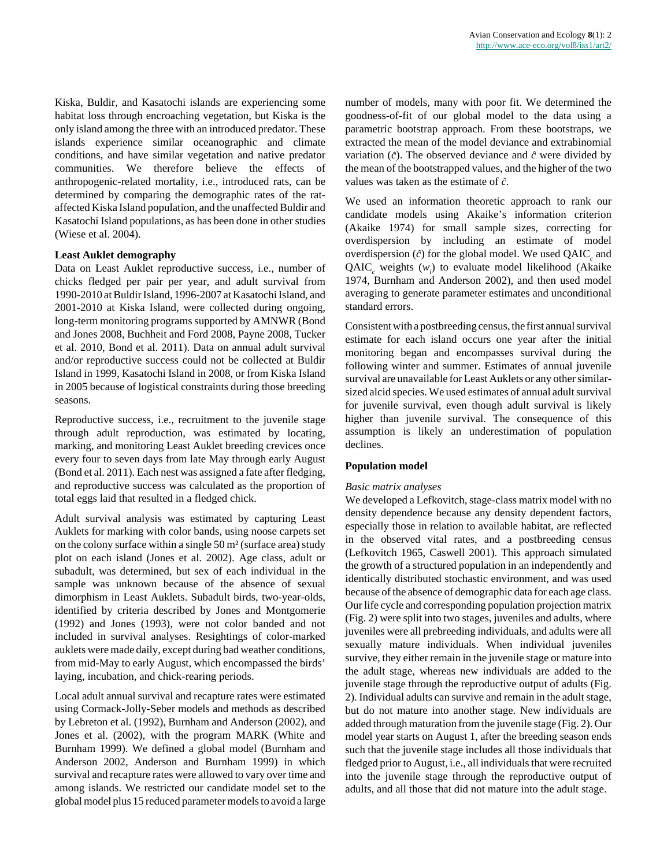Kiska, Buldir, and Kasatochi islands are experiencing some habitat loss through encroaching vegetation, but Kiska is the only island among the three with an introduced predator. These islands experience similar oceanographic and climate conditions, and have similar vegetation and native predator communities. We therefore believe the effects of anthropogenic-related mortality, i.e., introduced rats, can be determined by comparing the demographic rates of the rataffected Kiska Island population, and the unaffected Buldir and Kasatochi Island populations, as has been done in other studies (Wiese et al. 2004).

## **Least Auklet demography**

Data on Least Auklet reproductive success, i.e., number of chicks fledged per pair per year, and adult survival from 1990-2010 at Buldir Island, 1996-2007 at Kasatochi Island, and 2001-2010 at Kiska Island, were collected during ongoing, long-term monitoring programs supported by AMNWR (Bond and Jones 2008, Buchheit and Ford 2008, Payne 2008, Tucker et al. 2010, Bond et al. 2011). Data on annual adult survival and/or reproductive success could not be collected at Buldir Island in 1999, Kasatochi Island in 2008, or from Kiska Island in 2005 because of logistical constraints during those breeding seasons.

Reproductive success, i.e., recruitment to the juvenile stage through adult reproduction, was estimated by locating, marking, and monitoring Least Auklet breeding crevices once every four to seven days from late May through early August (Bond et al. 2011). Each nest was assigned a fate after fledging, and reproductive success was calculated as the proportion of total eggs laid that resulted in a fledged chick.

Adult survival analysis was estimated by capturing Least Auklets for marking with color bands, using noose carpets set on the colony surface within a single 50 m² (surface area) study plot on each island (Jones et al. 2002). Age class, adult or subadult, was determined, but sex of each individual in the sample was unknown because of the absence of sexual dimorphism in Least Auklets. Subadult birds, two-year-olds, identified by criteria described by Jones and Montgomerie (1992) and Jones (1993), were not color banded and not included in survival analyses. Resightings of color-marked auklets were made daily, except during bad weather conditions, from mid-May to early August, which encompassed the birds' laying, incubation, and chick-rearing periods.

Local adult annual survival and recapture rates were estimated using Cormack-Jolly-Seber models and methods as described by Lebreton et al. (1992), Burnham and Anderson (2002), and Jones et al. (2002), with the program MARK (White and Burnham 1999). We defined a global model (Burnham and Anderson 2002, Anderson and Burnham 1999) in which survival and recapture rates were allowed to vary over time and among islands. We restricted our candidate model set to the global model plus 15 reduced parameter models to avoid a large number of models, many with poor fit. We determined the goodness-of-fit of our global model to the data using a parametric bootstrap approach. From these bootstraps, we extracted the mean of the model deviance and extrabinomial variation  $(\hat{c})$ . The observed deviance and  $\hat{c}$  were divided by the mean of the bootstrapped values, and the higher of the two values was taken as the estimate of *c*. ^

We used an information theoretic approach to rank our candidate models using Akaike's information criterion (Akaike 1974) for small sample sizes, correcting for overdispersion by including an estimate of model overdispersion  $(\hat{c})$  for the global model. We used  $QAIC_c$  and QAIC*<sup>c</sup>* weights (*w<sup>i</sup>* ) to evaluate model likelihood (Akaike 1974, Burnham and Anderson 2002), and then used model averaging to generate parameter estimates and unconditional standard errors.

Consistent with a postbreeding census, the first annual survival estimate for each island occurs one year after the initial monitoring began and encompasses survival during the following winter and summer. Estimates of annual juvenile survival are unavailable for Least Auklets or any other similarsized alcid species. We used estimates of annual adult survival for juvenile survival, even though adult survival is likely higher than juvenile survival. The consequence of this assumption is likely an underestimation of population declines.

## **Population model**

## *Basic matrix analyses*

We developed a Lefkovitch, stage-class matrix model with no density dependence because any density dependent factors, especially those in relation to available habitat, are reflected in the observed vital rates, and a postbreeding census (Lefkovitch 1965, Caswell 2001). This approach simulated the growth of a structured population in an independently and identically distributed stochastic environment, and was used because of the absence of demographic data for each age class. Our life cycle and corresponding population projection matrix (Fig. 2) were split into two stages, juveniles and adults, where juveniles were all prebreeding individuals, and adults were all sexually mature individuals. When individual juveniles survive, they either remain in the juvenile stage or mature into the adult stage, whereas new individuals are added to the juvenile stage through the reproductive output of adults (Fig. 2). Individual adults can survive and remain in the adult stage, but do not mature into another stage. New individuals are added through maturation from the juvenile stage (Fig. 2). Our model year starts on August 1, after the breeding season ends such that the juvenile stage includes all those individuals that fledged prior to August, i.e., all individuals that were recruited into the juvenile stage through the reproductive output of adults, and all those that did not mature into the adult stage.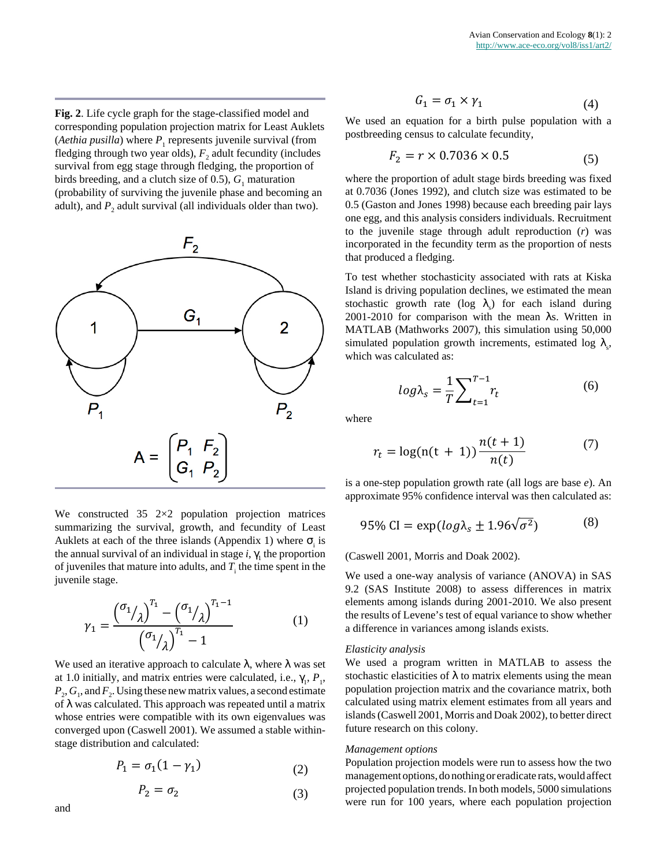**Fig. 2**. Life cycle graph for the stage-classified model and corresponding population projection matrix for Least Auklets  $(Aethia pusilla)$  where  $P_1$  represents juvenile survival (from fledging through two year olds),  $F_{2}$  adult fecundity (includes survival from egg stage through fledging, the proportion of birds breeding, and a clutch size of  $0.5$ ),  $G<sub>1</sub>$  maturation (probability of surviving the juvenile phase and becoming an adult), and  $P_2$  adult survival (all individuals older than two).



We constructed 35 2×2 population projection matrices summarizing the survival, growth, and fecundity of Least Auklets at each of the three islands (Appendix 1) where  $\sigma$ <sub>i</sub> is the annual survival of an individual in stage  $i$ ,  $\gamma$ <sub>1</sub> the proportion of juveniles that mature into adults, and  $T_i$  the time spent in the juvenile stage.

$$
\gamma_1 = \frac{\left(\frac{\sigma_1}{\lambda}\right)^{T_1} - \left(\frac{\sigma_1}{\lambda}\right)^{T_1 - 1}}{\left(\frac{\sigma_1}{\lambda}\right)^{T_1} - 1} \tag{1}
$$

of  $\lambda$  was calculated. This approach was repeated until a matrix whose entries were compatible with its own eigenvalues was stage distribution and calculated: We used an iterative approach to calculate  $\lambda$ , where  $\lambda$  was set  $\lambda$  1.0 initially and matrix approach approach addressed i.e.  $\lambda$ . at 1.0 initially, and matrix entries were calculated, i.e.,  $\gamma_1$ ,  $P_1$ ,  $P_2$ ,  $P_3$ ,  $P_4$ ,  $P_5$ ,  $P_6$ ,  $P_7$ ,  $P_8$ ,  $P_9$ ,  $P_1$ ,  $P_2$ ,  $P_4$ ,  $P_5$ ,  $P_6$ ,  $P_7$ ,  $P_8$ ,  $P_9$ ,  $P_1$ ,  $P_2$ ,  $P_3$ ,  $P_4$ ,  $P_5$ ,  $P_2, G_1,$  and  $F_2$ . Using these new matrix values, a second estimate converged upon (Caswell 2001). We assumed a stable withinthese new<br>This anny  $\frac{1}{2}$  terative approach to calculate λ, where λ was entries v

$$
P_1 = \sigma_1 (1 - \gamma_1) \tag{2}
$$

$$
P_2 = \sigma_2 \tag{3}
$$

 $G_1 = \sigma_1 \times \gamma_1$ (4)

We used an equation for a birth pulse population with a we used an equation for a birth pulse  $\frac{1}{2}$  postbreeding census to calculate fecundity, s to calc ulate fe eding to calcul

$$
F_2 = r \times 0.7036 \times 0.5
$$
 (5)

 $\frac{1}{2}$  and Jones 1998) because at  $0.7036$  (Jones 1992), and clutch size was estimated to be that produced a fledging. incorporated in the fecundity term as the proportion of nests<br>that produced a fledging ,<br>10 0.5 (Gaston and Jones 1998) because each breeding pair lays<br>one egg, and this analysis considers individuals. Recruitment 0.5 (Gaston and Jones 1998) because each breeding pair lays<br>one east and this analysis considers individuals. Becruitment where the proportion of adult stage birds breeding was fixed to the juvenile stage through adult reproduction (*r*) was

To test whether stochasticity associated with rats at Kiska TLAB (Mathworks 2007), this simulation using 50,00  $\frac{1}{2}$   $\frac{1}{2}$   $\frac{1}{2}$   $\frac{1}{2}$   $\frac{1}{2}$   $\frac{1}{2}$   $\frac{1}{2}$   $\frac{1}{2}$   $\frac{1}{2}$   $\frac{1}{2}$   $\frac{1}{2}$   $\frac{1}{2}$   $\frac{1}{2}$   $\frac{1}{2}$   $\frac{1}{2}$   $\frac{1}{2}$   $\frac{1}{2}$   $\frac{1}{2}$   $\frac{1}{2}$   $\frac{1}{2}$   $\frac{1}{2}$   $\frac{1}{2}$  MATLAB (Mathworks 2007), this simulation using 50,000<br>simulated population grouth increments, estimated log  $\lambda$ Island is driving population declines, we estimated the mean stochastic growth rate (log  $\lambda_s$ ) for each island during 2001-2010 for comparison with the mean λs. Written in which was calculated as:

$$
log\lambda_s = \frac{1}{T} \sum_{t=1}^{T-1} r_t \tag{6}
$$

where

$$
r_t = \log(n(t + 1)) \frac{n(t + 1)}{n(t)}
$$
 (7)

is a one-step population growth rate (all logs are base *e*). An approximate 95% confidence interval was then calculated as:

$$
95\% CI = \exp(\log \lambda_s \pm 1.96\sqrt{\sigma^2})\tag{8}
$$

(Caswell 2001, Morris and Doak 2002).

We used a one-way analysis of variance (ANOVA) in SAS 9.2 (SAS Institute 2008) to assess differences in matrix elements among islands during 2001-2010. We also present the results of Levene's test of equal variance to show whether a difference in variances among islands exists.

## *Elasticity analysis*

We used a program written in MATLAB to assess the stochastic elasticities of  $\lambda$  to matrix elements using the mean population projection matrix and the covariance matrix, both calculated using matrix element estimates from all years and islands (Caswell 2001, Morris and Doak 2002), to better direct future research on this colony.

## *Management options*

Population projection models were run to assess how the two management options, do nothing or eradicate rats, would affect projected population trends. In both models, 5000 simulations were run for 100 years, where each population projection

and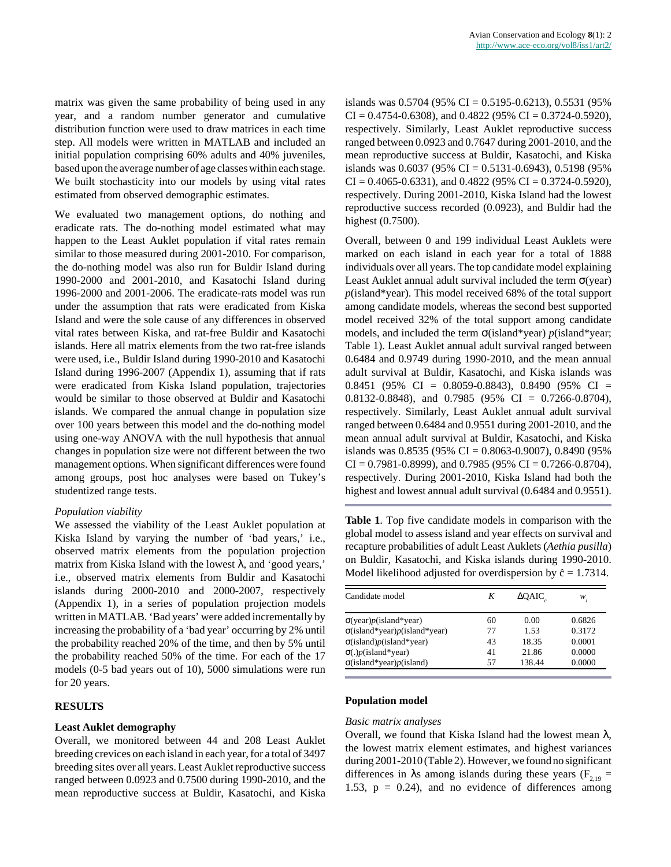matrix was given the same probability of being used in any year, and a random number generator and cumulative distribution function were used to draw matrices in each time step. All models were written in MATLAB and included an initial population comprising 60% adults and 40% juveniles, based upon the average number of age classes within each stage. We built stochasticity into our models by using vital rates estimated from observed demographic estimates.

We evaluated two management options, do nothing and eradicate rats. The do-nothing model estimated what may happen to the Least Auklet population if vital rates remain similar to those measured during 2001-2010. For comparison, the do-nothing model was also run for Buldir Island during 1990-2000 and 2001-2010, and Kasatochi Island during 1996-2000 and 2001-2006. The eradicate-rats model was run under the assumption that rats were eradicated from Kiska Island and were the sole cause of any differences in observed vital rates between Kiska, and rat-free Buldir and Kasatochi islands. Here all matrix elements from the two rat-free islands were used, i.e., Buldir Island during 1990-2010 and Kasatochi Island during 1996-2007 (Appendix 1), assuming that if rats were eradicated from Kiska Island population, trajectories would be similar to those observed at Buldir and Kasatochi islands. We compared the annual change in population size over 100 years between this model and the do-nothing model using one-way ANOVA with the null hypothesis that annual changes in population size were not different between the two management options. When significant differences were found among groups, post hoc analyses were based on Tukey's studentized range tests.

## *Population viability*

We assessed the viability of the Least Auklet population at Kiska Island by varying the number of 'bad years,' i.e., observed matrix elements from the population projection matrix from Kiska Island with the lowest  $\lambda$ , and 'good years,' i.e., observed matrix elements from Buldir and Kasatochi islands during 2000-2010 and 2000-2007, respectively (Appendix 1), in a series of population projection models written in MATLAB. 'Bad years' were added incrementally by increasing the probability of a 'bad year' occurring by 2% until the probability reached 20% of the time, and then by 5% until the probability reached 50% of the time. For each of the 17 models (0-5 bad years out of 10), 5000 simulations were run for 20 years.

## **RESULTS**

## **Least Auklet demography**

Overall, we monitored between 44 and 208 Least Auklet breeding crevices on each island in each year, for a total of 3497 breeding sites over all years. Least Auklet reproductive success ranged between 0.0923 and 0.7500 during 1990-2010, and the mean reproductive success at Buldir, Kasatochi, and Kiska islands was  $0.5704$  (95% CI = 0.5195-0.6213), 0.5531 (95%)  $CI = 0.4754 - 0.6308$ , and 0.4822 (95%  $CI = 0.3724 - 0.5920$ ), respectively. Similarly, Least Auklet reproductive success ranged between 0.0923 and 0.7647 during 2001-2010, and the mean reproductive success at Buldir, Kasatochi, and Kiska islands was 0.6037 (95% CI = 0.5131-0.6943), 0.5198 (95%  $CI = 0.4065 - 0.6331$ , and 0.4822 (95%  $CI = 0.3724 - 0.5920$ ), respectively. During 2001-2010, Kiska Island had the lowest reproductive success recorded (0.0923), and Buldir had the highest (0.7500).

Overall, between 0 and 199 individual Least Auklets were marked on each island in each year for a total of 1888 individuals over all years. The top candidate model explaining Least Auklet annual adult survival included the term  $\sigma$ (year) *p*(island\*year). This model received 68% of the total support among candidate models, whereas the second best supported model received 32% of the total support among candidate models, and included the term σ(island\*year) *p*(island\*year; Table 1). Least Auklet annual adult survival ranged between 0.6484 and 0.9749 during 1990-2010, and the mean annual adult survival at Buldir, Kasatochi, and Kiska islands was 0.8451 (95% CI = 0.8059-0.8843), 0.8490 (95% CI = 0.8132-0.8848), and 0.7985 (95% CI = 0.7266-0.8704), respectively. Similarly, Least Auklet annual adult survival ranged between 0.6484 and 0.9551 during 2001-2010, and the mean annual adult survival at Buldir, Kasatochi, and Kiska islands was 0.8535 (95% CI = 0.8063-0.9007), 0.8490 (95%  $CI = 0.7981 - 0.8999$ , and 0.7985 (95%  $CI = 0.7266 - 0.8704$ ), respectively. During 2001-2010, Kiska Island had both the highest and lowest annual adult survival  $(0.6484$  and  $0.9551)$ .

**Table 1**. Top five candidate models in comparison with the global model to assess island and year effects on survival and recapture probabilities of adult Least Auklets (*Aethia pusilla*) on Buldir, Kasatochi, and Kiska islands during 1990-2010. Model likelihood adjusted for overdispersion by  $\hat{c} = 1.7314$ .

| Candidate model                      | K  | ∆QAIC  | w.     |  |
|--------------------------------------|----|--------|--------|--|
| $\sigma$ (year) $p$ (island*year)    | 60 | 0.00   | 0.6826 |  |
| $\sigma$ (island*year)p(island*year) | 77 | 1.53   | 0.3172 |  |
| $\sigma$ (island) $p$ (island*year)  | 43 | 18.35  | 0.0001 |  |
| $\sigma(.)p$ (island*year)           | 41 | 21.86  | 0.0000 |  |
| $\sigma$ (island*year) $p$ (island)  | 57 | 138.44 | 0.0000 |  |

## **Population model**

#### *Basic matrix analyses*

Overall, we found that Kiska Island had the lowest mean  $λ$ , the lowest matrix element estimates, and highest variances during 2001-2010 (Table 2). However, we found no significant differences in  $\lambda$ s among islands during these years (F<sub>2,19</sub> = 1.53,  $p = 0.24$ ), and no evidence of differences among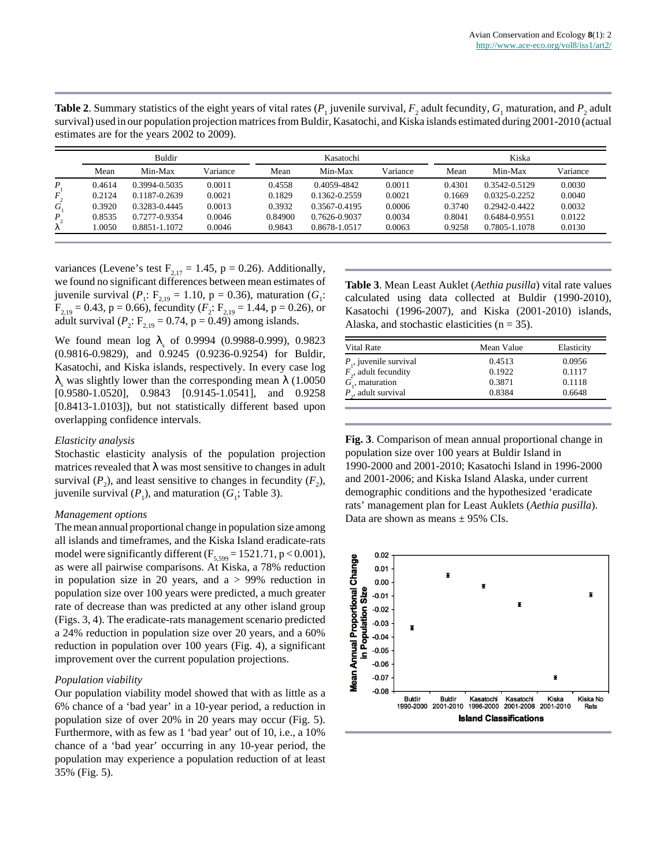| <b>Table 2.</b> Summary statistics of the eight years of vital rates $(P_1$ juvenile survival, $F_2$ adult fecundity, $G_1$ maturation, and $P_2$ adult |
|---------------------------------------------------------------------------------------------------------------------------------------------------------|
| survival) used in our population projection matrices from Buldir, Kasatochi, and Kiska islands estimated during 2001-2010 (actual                       |
| estimates are for the years 2002 to 2009).                                                                                                              |

|              | Buldir |               |          | Kasatochi |               |          | Kiska  |               |          |
|--------------|--------|---------------|----------|-----------|---------------|----------|--------|---------------|----------|
|              | Mean   | Min-Max       | Variance | Mean      | Min-Max       | Variance | Mean   | Min-Max       | Variance |
| Р.           | 0.4614 | 0.3994-0.5035 | 0.0011   | 0.4558    | 0.4059-4842   | 0.0011   | 0.4301 | 0.3542-0.5129 | 0.0030   |
| F,           | 0.2124 | 0.1187-0.2639 | 0.0021   | 0.1829    | 0.1362-0.2559 | 0.0021   | 0.1669 | 0.0325-0.2252 | 0.0040   |
| G.           | 0.3920 | 0.3283-0.4445 | 0.0013   | 0.3932    | 0.3567-0.4195 | 0.0006   | 0.3740 | 0.2942-0.4422 | 0.0032   |
| $P_{\gamma}$ | 0.8535 | 0.7277-0.9354 | 0.0046   | 0.84900   | 0.7626-0.9037 | 0.0034   | 0.8041 | 0.6484-0.9551 | 0.0122   |
| Λ            | .0050  | 0.8851-1.1072 | 0.0046   | 0.9843    | 0.8678-1.0517 | 0.0063   | 0.9258 | 0.7805-1.1078 | 0.0130   |

variances (Levene's test  $F_{2,17} = 1.45$ , p = 0.26). Additionally, we found no significant differences between mean estimates of juvenile survival ( $P_1$ :  $F_{2,19} = 1.10$ ,  $p = 0.36$ ), maturation ( $G_1$ :  $F_{2,19} = 0.43$ , p = 0.66), fecundity ( $F_2$ :  $F_{2,19} = 1.44$ , p = 0.26), or adult survival  $(P_2: F_{2,19} = 0.74, p = 0.49)$  among islands.

We found mean  $log \lambda_s$  of 0.9994 (0.9988-0.999), 0.9823 (0.9816-0.9829), and 0.9245 (0.9236-0.9254) for Buldir, Kasatochi, and Kiska islands, respectively. In every case log  $\lambda_{\rm s}$  was slightly lower than the corresponding mean  $\lambda$  (1.0050) [0.9580-1.0520], 0.9843 [0.9145-1.0541], and 0.9258 [0.8413-1.0103]), but not statistically different based upon overlapping confidence intervals.

## *Elasticity analysis*

Stochastic elasticity analysis of the population projection matrices revealed that  $\lambda$  was most sensitive to changes in adult survival  $(P_2)$ , and least sensitive to changes in fecundity  $(F_2)$ , juvenile survival  $(P_1)$ , and maturation  $(G_1; \text{Table 3}).$ 

#### *Management options*

The mean annual proportional change in population size among all islands and timeframes, and the Kiska Island eradicate-rats model were significantly different  $(F_{5,599} = 1521.71, p < 0.001)$ , as were all pairwise comparisons. At Kiska, a 78% reduction in population size in 20 years, and  $a > 99\%$  reduction in population size over 100 years were predicted, a much greater rate of decrease than was predicted at any other island group (Figs. 3, 4). The eradicate-rats management scenario predicted a 24% reduction in population size over 20 years, and a 60% reduction in population over 100 years (Fig. 4), a significant improvement over the current population projections.

## *Population viability*

Our population viability model showed that with as little as a 6% chance of a 'bad year' in a 10-year period, a reduction in population size of over 20% in 20 years may occur (Fig. 5). Furthermore, with as few as 1 'bad year' out of 10, i.e., a 10% chance of a 'bad year' occurring in any 10-year period, the population may experience a population reduction of at least 35% (Fig. 5).

**Table 3**. Mean Least Auklet (*Aethia pusilla*) vital rate values calculated using data collected at Buldir (1990-2010), Kasatochi (1996-2007), and Kiska (2001-2010) islands, Alaska, and stochastic elasticities ( $n = 35$ ).

| Vital Rate                    | Mean Value | Elasticity |  |
|-------------------------------|------------|------------|--|
| $P_1$ , juvenile survival     | 0.4513     | 0.0956     |  |
| $F_{2}$ , adult fecundity     | 0.1922     | 0.1117     |  |
| $G_i$ , maturation            | 0.3871     | 0.1118     |  |
| $P_{\alpha}$ , adult survival | 0.8384     | 0.6648     |  |

**Fig. 3**. Comparison of mean annual proportional change in population size over 100 years at Buldir Island in 1990-2000 and 2001-2010; Kasatochi Island in 1996-2000 and 2001-2006; and Kiska Island Alaska, under current demographic conditions and the hypothesized 'eradicate rats' management plan for Least Auklets (*Aethia pusilla*). Data are shown as means  $\pm$  95% CIs.

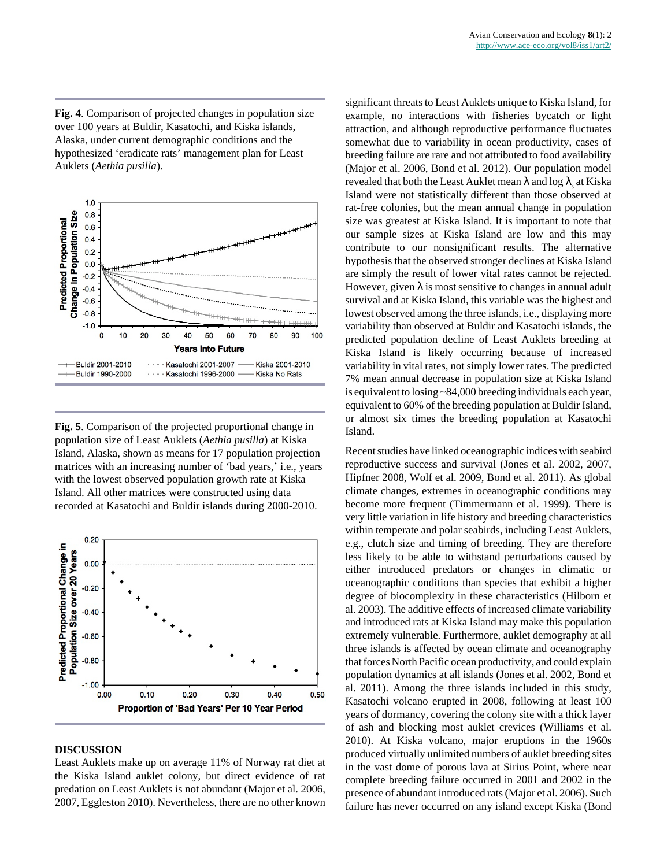**Fig. 4**. Comparison of projected changes in population size over 100 years at Buldir, Kasatochi, and Kiska islands, Alaska, under current demographic conditions and the hypothesized 'eradicate rats' management plan for Least Auklets (*Aethia pusilla*).



**Fig. 5**. Comparison of the projected proportional change in population size of Least Auklets (*Aethia pusilla*) at Kiska Island, Alaska, shown as means for 17 population projection matrices with an increasing number of 'bad years,' i.e., years with the lowest observed population growth rate at Kiska Island. All other matrices were constructed using data recorded at Kasatochi and Buldir islands during 2000-2010.



## **DISCUSSION**

Least Auklets make up on average 11% of Norway rat diet at the Kiska Island auklet colony, but direct evidence of rat predation on Least Auklets is not abundant (Major et al. 2006, 2007, Eggleston 2010). Nevertheless, there are no other known significant threats to Least Auklets unique to Kiska Island, for example, no interactions with fisheries bycatch or light attraction, and although reproductive performance fluctuates somewhat due to variability in ocean productivity, cases of breeding failure are rare and not attributed to food availability (Major et al. 2006, Bond et al. 2012). Our population model revealed that both the Least Auklet mean  $\lambda$  and log  $\lambda_{\text{\tiny S}}$  at Kiska Island were not statistically different than those observed at rat-free colonies, but the mean annual change in population size was greatest at Kiska Island. It is important to note that our sample sizes at Kiska Island are low and this may contribute to our nonsignificant results. The alternative hypothesis that the observed stronger declines at Kiska Island are simply the result of lower vital rates cannot be rejected. However, given  $\lambda$  is most sensitive to changes in annual adult survival and at Kiska Island, this variable was the highest and lowest observed among the three islands, i.e., displaying more variability than observed at Buldir and Kasatochi islands, the predicted population decline of Least Auklets breeding at Kiska Island is likely occurring because of increased variability in vital rates, not simply lower rates. The predicted 7% mean annual decrease in population size at Kiska Island is equivalent to losing ~84,000 breeding individuals each year, equivalent to 60% of the breeding population at Buldir Island, or almost six times the breeding population at Kasatochi Island.

Recent studies have linked oceanographic indices with seabird reproductive success and survival (Jones et al. 2002, 2007, Hipfner 2008, Wolf et al. 2009, Bond et al. 2011). As global climate changes, extremes in oceanographic conditions may become more frequent (Timmermann et al. 1999). There is very little variation in life history and breeding characteristics within temperate and polar seabirds, including Least Auklets, e.g., clutch size and timing of breeding. They are therefore less likely to be able to withstand perturbations caused by either introduced predators or changes in climatic or oceanographic conditions than species that exhibit a higher degree of biocomplexity in these characteristics (Hilborn et al. 2003). The additive effects of increased climate variability and introduced rats at Kiska Island may make this population extremely vulnerable. Furthermore, auklet demography at all three islands is affected by ocean climate and oceanography that forces North Pacific ocean productivity, and could explain population dynamics at all islands (Jones et al. 2002, Bond et al. 2011). Among the three islands included in this study, Kasatochi volcano erupted in 2008, following at least 100 years of dormancy, covering the colony site with a thick layer of ash and blocking most auklet crevices (Williams et al. 2010). At Kiska volcano, major eruptions in the 1960s produced virtually unlimited numbers of auklet breeding sites in the vast dome of porous lava at Sirius Point, where near complete breeding failure occurred in 2001 and 2002 in the presence of abundant introduced rats (Major et al. 2006). Such failure has never occurred on any island except Kiska (Bond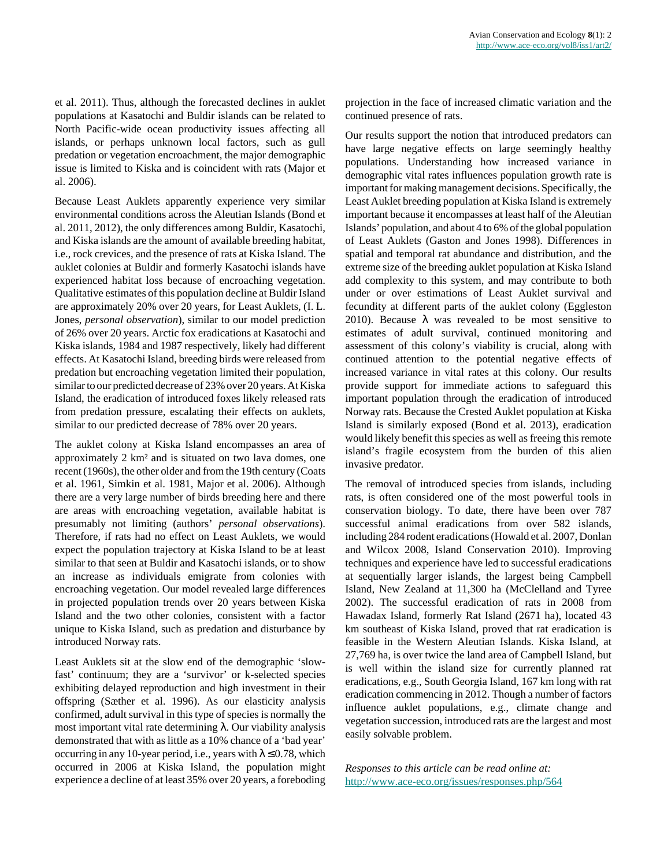et al. 2011). Thus, although the forecasted declines in auklet populations at Kasatochi and Buldir islands can be related to North Pacific-wide ocean productivity issues affecting all islands, or perhaps unknown local factors, such as gull predation or vegetation encroachment, the major demographic issue is limited to Kiska and is coincident with rats (Major et al. 2006).

Because Least Auklets apparently experience very similar environmental conditions across the Aleutian Islands (Bond et al. 2011, 2012), the only differences among Buldir, Kasatochi, and Kiska islands are the amount of available breeding habitat, i.e., rock crevices, and the presence of rats at Kiska Island. The auklet colonies at Buldir and formerly Kasatochi islands have experienced habitat loss because of encroaching vegetation. Qualitative estimates of this population decline at Buldir Island are approximately 20% over 20 years, for Least Auklets, (I. L. Jones, *personal observation*), similar to our model prediction of 26% over 20 years. Arctic fox eradications at Kasatochi and Kiska islands, 1984 and 1987 respectively, likely had different effects. At Kasatochi Island, breeding birds were released from predation but encroaching vegetation limited their population, similar to our predicted decrease of 23% over 20 years. At Kiska Island, the eradication of introduced foxes likely released rats from predation pressure, escalating their effects on auklets, similar to our predicted decrease of 78% over 20 years.

The auklet colony at Kiska Island encompasses an area of approximately 2 km² and is situated on two lava domes, one recent (1960s), the other older and from the 19th century (Coats et al. 1961, Simkin et al. 1981, Major et al. 2006). Although there are a very large number of birds breeding here and there are areas with encroaching vegetation, available habitat is presumably not limiting (authors' *personal observations*). Therefore, if rats had no effect on Least Auklets, we would expect the population trajectory at Kiska Island to be at least similar to that seen at Buldir and Kasatochi islands, or to show an increase as individuals emigrate from colonies with encroaching vegetation. Our model revealed large differences in projected population trends over 20 years between Kiska Island and the two other colonies, consistent with a factor unique to Kiska Island, such as predation and disturbance by introduced Norway rats.

Least Auklets sit at the slow end of the demographic 'slowfast' continuum; they are a 'survivor' or k-selected species exhibiting delayed reproduction and high investment in their offspring (Sæther et al. 1996). As our elasticity analysis confirmed, adult survival in this type of species is normally the most important vital rate determining  $λ$ . Our viability analysis demonstrated that with as little as a 10% chance of a 'bad year' occurring in any 10-year period, i.e., years with  $\lambda \le 0.78$ , which occurred in 2006 at Kiska Island, the population might experience a decline of at least 35% over 20 years, a foreboding projection in the face of increased climatic variation and the continued presence of rats.

Our results support the notion that introduced predators can have large negative effects on large seemingly healthy populations. Understanding how increased variance in demographic vital rates influences population growth rate is important for making management decisions. Specifically, the Least Auklet breeding population at Kiska Island is extremely important because it encompasses at least half of the Aleutian Islands' population, and about 4 to 6% of the global population of Least Auklets (Gaston and Jones 1998). Differences in spatial and temporal rat abundance and distribution, and the extreme size of the breeding auklet population at Kiska Island add complexity to this system, and may contribute to both under or over estimations of Least Auklet survival and fecundity at different parts of the auklet colony (Eggleston 2010). Because  $\lambda$  was revealed to be most sensitive to estimates of adult survival, continued monitoring and assessment of this colony's viability is crucial, along with continued attention to the potential negative effects of increased variance in vital rates at this colony. Our results provide support for immediate actions to safeguard this important population through the eradication of introduced Norway rats. Because the Crested Auklet population at Kiska Island is similarly exposed (Bond et al. 2013), eradication would likely benefit this species as well as freeing this remote island's fragile ecosystem from the burden of this alien invasive predator.

The removal of introduced species from islands, including rats, is often considered one of the most powerful tools in conservation biology. To date, there have been over 787 successful animal eradications from over 582 islands, including 284 rodent eradications (Howald et al. 2007, Donlan and Wilcox 2008, Island Conservation 2010). Improving techniques and experience have led to successful eradications at sequentially larger islands, the largest being Campbell Island, New Zealand at 11,300 ha (McClelland and Tyree 2002). The successful eradication of rats in 2008 from Hawadax Island, formerly Rat Island (2671 ha), located 43 km southeast of Kiska Island, proved that rat eradication is feasible in the Western Aleutian Islands. Kiska Island, at 27,769 ha, is over twice the land area of Campbell Island, but is well within the island size for currently planned rat eradications, e.g., South Georgia Island, 167 km long with rat eradication commencing in 2012. Though a number of factors influence auklet populations, e.g., climate change and vegetation succession, introduced rats are the largest and most easily solvable problem.

*Responses to this article can be read online at:* <http://www.ace-eco.org/issues/responses.php/564>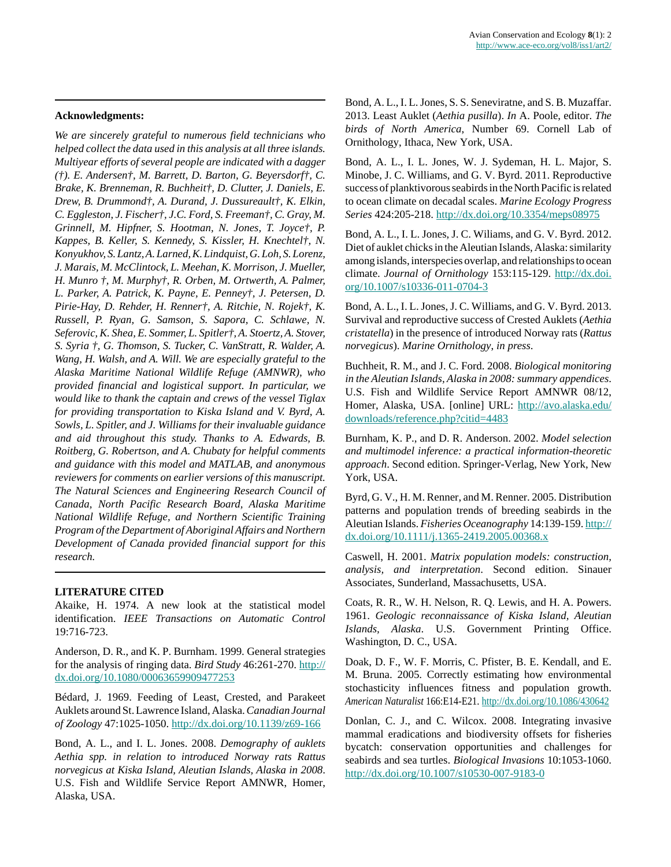## **Acknowledgments:**

*We are sincerely grateful to numerous field technicians who helped collect the data used in this analysis at all three islands. Multiyear efforts of several people are indicated with a dagger (†). E. Andersen†, M. Barrett, D. Barton, G. Beyersdorf†, C. Brake, K. Brenneman, R. Buchheit†, D. Clutter, J. Daniels, E. Drew, B. Drummond†, A. Durand, J. Dussureault†, K. Elkin, C. Eggleston, J. Fischer†, J.C. Ford, S. Freeman†, C. Gray, M. Grinnell, M. Hipfner, S. Hootman, N. Jones, T. Joyce†, P. Kappes, B. Keller, S. Kennedy, S. Kissler, H. Knechtel†, N. Konyukhov, S. Lantz, A. Larned, K. Lindquist, G. Loh, S. Lorenz, J. Marais, M. McClintock, L. Meehan, K. Morrison, J. Mueller, H. Munro †, M. Murphy†, R. Orben, M. Ortwerth, A. Palmer, L. Parker, A. Patrick, K. Payne, E. Penney†, J. Petersen, D. Pirie-Hay, D. Rehder, H. Renner†, A. Ritchie, N. Rojek†, K. Russell, P. Ryan, G. Samson, S. Sapora, C. Schlawe, N. Seferovic, K. Shea, E. Sommer, L. Spitler†, A. Stoertz, A. Stover, S. Syria †, G. Thomson, S. Tucker, C. VanStratt, R. Walder, A. Wang, H. Walsh, and A. Will. We are especially grateful to the Alaska Maritime National Wildlife Refuge (AMNWR), who provided financial and logistical support. In particular, we would like to thank the captain and crews of the vessel Tiglax for providing transportation to Kiska Island and V. Byrd, A. Sowls, L. Spitler, and J. Williams for their invaluable guidance and aid throughout this study. Thanks to A. Edwards, B. Roitberg, G. Robertson, and A. Chubaty for helpful comments and guidance with this model and MATLAB, and anonymous reviewers for comments on earlier versions of this manuscript. The Natural Sciences and Engineering Research Council of Canada, North Pacific Research Board, Alaska Maritime National Wildlife Refuge, and Northern Scientific Training Program of the Department of Aboriginal Affairs and Northern Development of Canada provided financial support for this research.*

## **LITERATURE CITED**

Akaike, H. 1974. A new look at the statistical model identification. *IEEE Transactions on Automatic Control* 19:716-723.

Anderson, D. R., and K. P. Burnham. 1999. General strategies for the analysis of ringing data. *Bird Study* 46:261-270. [http://](http://dx.doi.org/10.1080/00063659909477253) [dx.doi.org/10.1080/00063659909477253](http://dx.doi.org/10.1080/00063659909477253)

Bédard, J. 1969. Feeding of Least, Crested, and Parakeet Auklets around St. Lawrence Island, Alaska. *Canadian Journal of Zoology* 47:1025-1050. <http://dx.doi.org/10.1139/z69-166>

Bond, A. L., and I. L. Jones. 2008. *Demography of auklets Aethia spp. in relation to introduced Norway rats Rattus norvegicus at Kiska Island, Aleutian Islands, Alaska in 2008*. U.S. Fish and Wildlife Service Report AMNWR, Homer, Alaska, USA.

Bond, A. L., I. L. Jones, S. S. Seneviratne, and S. B. Muzaffar. 2013. Least Auklet (*Aethia pusilla*). *In* A. Poole, editor. *The birds of North America*, Number 69. Cornell Lab of Ornithology, Ithaca, New York, USA.

Bond, A. L., I. L. Jones, W. J. Sydeman, H. L. Major, S. Minobe, J. C. Williams, and G. V. Byrd. 2011. Reproductive success of planktivorous seabirds in the North Pacific is related to ocean climate on decadal scales. *Marine Ecology Progress Series* 424:205-218.<http://dx.doi.org/10.3354/meps08975>

Bond, A. L., I. L. Jones, J. C. Wiliams, and G. V. Byrd. 2012. Diet of auklet chicks in the Aleutian Islands, Alaska: similarity among islands, interspecies overlap, and relationships to ocean climate. *Journal of Ornithology* 153:115-129. [http://dx.doi.](http://dx.doi.org/10.1007/s10336-011-0704-3) [org/10.1007/s10336-011-0704-3](http://dx.doi.org/10.1007/s10336-011-0704-3)

Bond, A. L., I. L. Jones, J. C. Williams, and G. V. Byrd. 2013. Survival and reproductive success of Crested Auklets (*Aethia cristatella*) in the presence of introduced Norway rats (*Rattus norvegicus*). *Marine Ornithology*, *in press*.

Buchheit, R. M., and J. C. Ford. 2008. *Biological monitoring in the Aleutian Islands, Alaska in 2008: summary appendices*. U.S. Fish and Wildlife Service Report AMNWR 08/12, Homer, Alaska, USA. [online] URL: [http://avo.alaska.edu/](http://avo.alaska.edu/downloads/reference.php?citid=4483) [downloads/reference.php?citid=4483](http://avo.alaska.edu/downloads/reference.php?citid=4483)

Burnham, K. P., and D. R. Anderson. 2002. *Model selection and multimodel inference: a practical information-theoretic approach*. Second edition. Springer-Verlag, New York, New York, USA.

Byrd, G. V., H. M. Renner, and M. Renner. 2005. Distribution patterns and population trends of breeding seabirds in the Aleutian Islands. *Fisheries Oceanography* 14:139-159. [http://](http://dx.doi.org/10.1111/j.1365-2419.2005.00368.x) [dx.doi.org/10.1111/j.1365-2419.2005.00368.x](http://dx.doi.org/10.1111/j.1365-2419.2005.00368.x)

Caswell, H. 2001. *Matrix population models: construction, analysis, and interpretation*. Second edition. Sinauer Associates, Sunderland, Massachusetts, USA.

Coats, R. R., W. H. Nelson, R. Q. Lewis, and H. A. Powers. 1961. *Geologic reconnaissance of Kiska Island, Aleutian Islands, Alaska*. U.S. Government Printing Office. Washington, D. C., USA.

Doak, D. F., W. F. Morris, C. Pfister, B. E. Kendall, and E. M. Bruna. 2005. Correctly estimating how environmental stochasticity influences fitness and population growth. *American Naturalist* 166:E14-E21. <http://dx.doi.org/10.1086/430642>

Donlan, C. J., and C. Wilcox. 2008. Integrating invasive mammal eradications and biodiversity offsets for fisheries bycatch: conservation opportunities and challenges for seabirds and sea turtles. *Biological Invasions* 10:1053-1060. <http://dx.doi.org/10.1007/s10530-007-9183-0>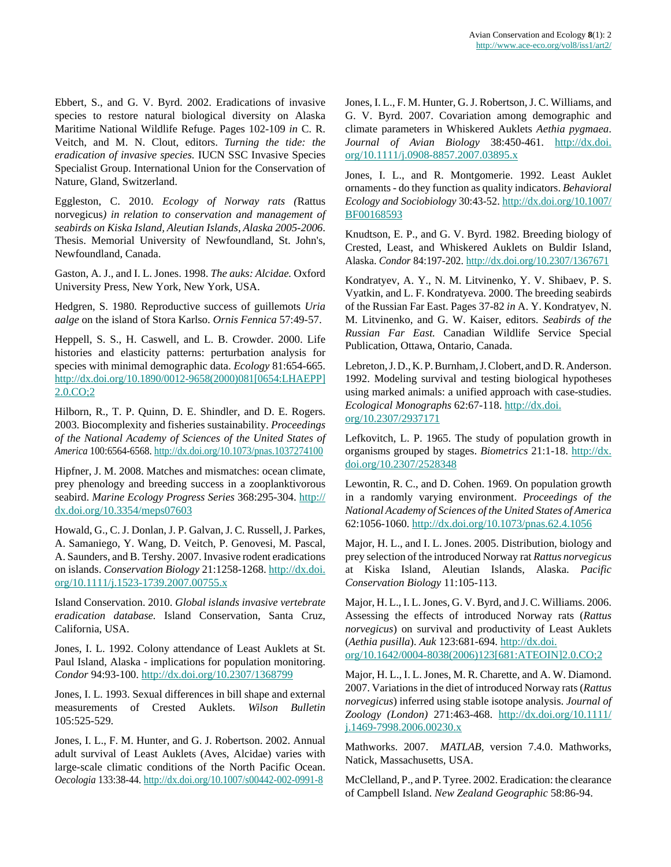Ebbert, S., and G. V. Byrd. 2002. Eradications of invasive species to restore natural biological diversity on Alaska Maritime National Wildlife Refuge. Pages 102-109 *in* C. R. Veitch, and M. N. Clout, editors. *Turning the tide: the eradication of invasive species.* IUCN SSC Invasive Species Specialist Group. International Union for the Conservation of Nature, Gland, Switzerland.

Eggleston, C. 2010. *Ecology of Norway rats (*Rattus norvegicus*) in relation to conservation and management of seabirds on Kiska Island, Aleutian Islands, Alaska 2005-2006*. Thesis. Memorial University of Newfoundland, St. John's, Newfoundland, Canada.

Gaston, A. J., and I. L. Jones. 1998. *The auks: Alcidae.* Oxford University Press, New York, New York, USA.

Hedgren, S. 1980. Reproductive success of guillemots *Uria aalge* on the island of Stora Karlso. *Ornis Fennica* 57:49-57.

Heppell, S. S., H. Caswell, and L. B. Crowder. 2000. Life histories and elasticity patterns: perturbation analysis for species with minimal demographic data. *Ecology* 81:654-665. [http://dx.doi.org/10.1890/0012-9658\(2000\)081\[0654:LHAEPP\]](http://dx.doi.org/10.1890/0012-9658(2000)081[0654:LHAEPP]2.0.CO;2) [2.0.CO;2](http://dx.doi.org/10.1890/0012-9658(2000)081[0654:LHAEPP]2.0.CO;2)

Hilborn, R., T. P. Quinn, D. E. Shindler, and D. E. Rogers. 2003. Biocomplexity and fisheries sustainability. *Proceedings of the National Academy of Sciences of the United States of America* 100:6564-6568. <http://dx.doi.org/10.1073/pnas.1037274100>

Hipfner, J. M. 2008. Matches and mismatches: ocean climate, prey phenology and breeding success in a zooplanktivorous seabird. *Marine Ecology Progress Series* 368:295-304. [http://](http://dx.doi.org/10.3354/meps07603) [dx.doi.org/10.3354/meps07603](http://dx.doi.org/10.3354/meps07603)

Howald, G., C. J. Donlan, J. P. Galvan, J. C. Russell, J. Parkes, A. Samaniego, Y. Wang, D. Veitch, P. Genovesi, M. Pascal, A. Saunders, and B. Tershy. 2007. Invasive rodent eradications on islands. *Conservation Biology* 21:1258-1268. [http://dx.doi.](http://dx.doi.org/10.1111/j.1523-1739.2007.00755.x) [org/10.1111/j.1523-1739.2007.00755.x](http://dx.doi.org/10.1111/j.1523-1739.2007.00755.x)

Island Conservation. 2010. *Global islands invasive vertebrate eradication database.* Island Conservation, Santa Cruz, California, USA.

Jones, I. L. 1992. Colony attendance of Least Auklets at St. Paul Island, Alaska - implications for population monitoring. *Condor* 94:93-100.<http://dx.doi.org/10.2307/1368799>

Jones, I. L. 1993. Sexual differences in bill shape and external measurements of Crested Auklets. *Wilson Bulletin* 105:525-529.

Jones, I. L., F. M. Hunter, and G. J. Robertson. 2002. Annual adult survival of Least Auklets (Aves, Alcidae) varies with large-scale climatic conditions of the North Pacific Ocean. *Oecologia* 133:38-44.<http://dx.doi.org/10.1007/s00442-002-0991-8>

Jones, I. L., F. M. Hunter, G. J. Robertson, J. C. Williams, and G. V. Byrd. 2007. Covariation among demographic and climate parameters in Whiskered Auklets *Aethia pygmaea*. *Journal of Avian Biology* 38:450-461. [http://dx.doi.](http://dx.doi.org/10.1111/j.0908-8857.2007.03895.x) [org/10.1111/j.0908-8857.2007.03895.x](http://dx.doi.org/10.1111/j.0908-8857.2007.03895.x)

Jones, I. L., and R. Montgomerie. 1992. Least Auklet ornaments - do they function as quality indicators. *Behavioral Ecology and Sociobiology* 30:43-52. [http://dx.doi.org/10.1007/](http://dx.doi.org/10.1007/BF00168593) [BF00168593](http://dx.doi.org/10.1007/BF00168593)

Knudtson, E. P., and G. V. Byrd. 1982. Breeding biology of Crested, Least, and Whiskered Auklets on Buldir Island, Alaska. *Condor* 84:197-202.<http://dx.doi.org/10.2307/1367671>

Kondratyev, A. Y., N. M. Litvinenko, Y. V. Shibaev, P. S. Vyatkin, and L. F. Kondratyeva. 2000. The breeding seabirds of the Russian Far East. Pages 37-82 *in* A. Y. Kondratyev, N. M. Litvinenko, and G. W. Kaiser, editors. *Seabirds of the Russian Far East.* Canadian Wildlife Service Special Publication, Ottawa, Ontario, Canada.

Lebreton, J. D., K. P. Burnham, J. Clobert, and D. R. Anderson. 1992. Modeling survival and testing biological hypotheses using marked animals: a unified approach with case-studies. *Ecological Monographs* 62:67-118. [http://dx.doi.](http://dx.doi.org/10.2307/2937171) [org/10.2307/2937171](http://dx.doi.org/10.2307/2937171)

Lefkovitch, L. P. 1965. The study of population growth in organisms grouped by stages. *Biometrics* 21:1-18. [http://dx.](http://dx.doi.org/10.2307/2528348) [doi.org/10.2307/2528348](http://dx.doi.org/10.2307/2528348)

Lewontin, R. C., and D. Cohen. 1969. On population growth in a randomly varying environment. *Proceedings of the National Academy of Sciences of the United States of America* 62:1056-1060.<http://dx.doi.org/10.1073/pnas.62.4.1056>

Major, H. L., and I. L. Jones. 2005. Distribution, biology and prey selection of the introduced Norway rat *Rattus norvegicus* at Kiska Island, Aleutian Islands, Alaska. *Pacific Conservation Biology* 11:105-113.

Major, H. L., I. L. Jones, G. V. Byrd, and J. C. Williams. 2006. Assessing the effects of introduced Norway rats (*Rattus norvegicus*) on survival and productivity of Least Auklets (*Aethia pusilla*). *Auk* 123:681-694. [http://dx.doi.](http://dx.doi.org/10.1642/0004-8038(2006)123[681:ATEOIN]2.0.CO;2) [org/10.1642/0004-8038\(2006\)123\[681:ATEOIN\]2.0.CO;2](http://dx.doi.org/10.1642/0004-8038(2006)123[681:ATEOIN]2.0.CO;2)

Major, H. L., I. L. Jones, M. R. Charette, and A. W. Diamond. 2007. Variations in the diet of introduced Norway rats (*Rattus norvegicus*) inferred using stable isotope analysis. *Journal of Zoology (London)* 271:463-468. [http://dx.doi.org/10.1111/](http://dx.doi.org/10.1111/j.1469-7998.2006.00230.x) [j.1469-7998.2006.00230.x](http://dx.doi.org/10.1111/j.1469-7998.2006.00230.x)

Mathworks. 2007. *MATLAB,* version 7.4.0. Mathworks, Natick, Massachusetts, USA.

McClelland, P., and P. Tyree. 2002. Eradication: the clearance of Campbell Island. *New Zealand Geographic* 58:86-94.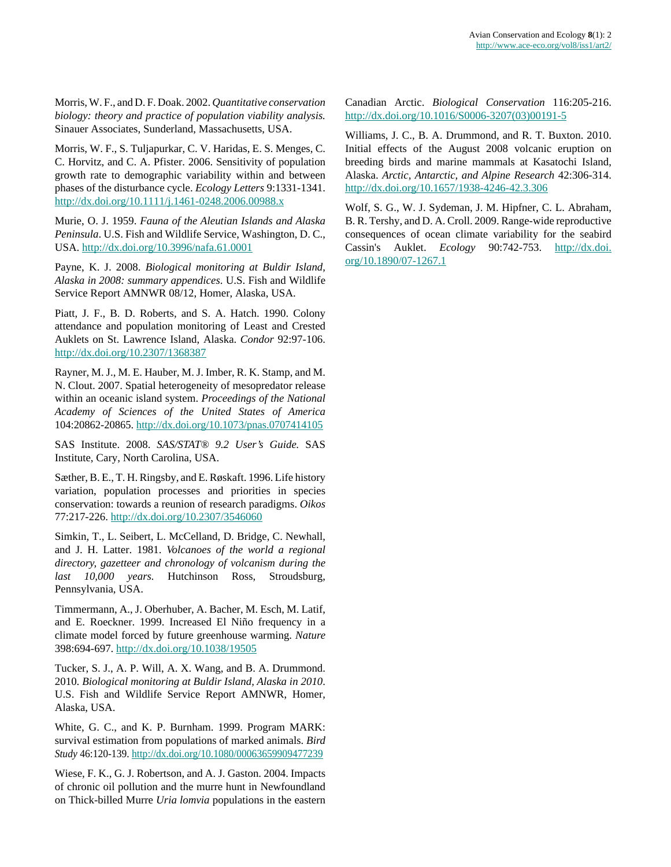Morris, W. F., and D. F. Doak. 2002. *Quantitative conservation biology: theory and practice of population viability analysis.* Sinauer Associates, Sunderland, Massachusetts, USA.

Morris, W. F., S. Tuljapurkar, C. V. Haridas, E. S. Menges, C. C. Horvitz, and C. A. Pfister. 2006. Sensitivity of population growth rate to demographic variability within and between phases of the disturbance cycle. *Ecology Letters* 9:1331-1341. <http://dx.doi.org/10.1111/j.1461-0248.2006.00988.x>

Murie, O. J. 1959. *Fauna of the Aleutian Islands and Alaska Peninsula*. U.S. Fish and Wildlife Service, Washington, D. C., USA. <http://dx.doi.org/10.3996/nafa.61.0001>

Payne, K. J. 2008. *Biological monitoring at Buldir Island, Alaska in 2008: summary appendices*. U.S. Fish and Wildlife Service Report AMNWR 08/12, Homer, Alaska, USA.

Piatt, J. F., B. D. Roberts, and S. A. Hatch. 1990. Colony attendance and population monitoring of Least and Crested Auklets on St. Lawrence Island, Alaska. *Condor* 92:97-106. <http://dx.doi.org/10.2307/1368387>

Rayner, M. J., M. E. Hauber, M. J. Imber, R. K. Stamp, and M. N. Clout. 2007. Spatial heterogeneity of mesopredator release within an oceanic island system. *Proceedings of the National Academy of Sciences of the United States of America* 104:20862-20865.<http://dx.doi.org/10.1073/pnas.0707414105>

SAS Institute. 2008. *SAS/STAT® 9.2 User's Guide.* SAS Institute, Cary, North Carolina, USA.

Sæther, B. E., T. H. Ringsby, and E. Røskaft. 1996. Life history variation, population processes and priorities in species conservation: towards a reunion of research paradigms. *Oikos* 77:217-226.<http://dx.doi.org/10.2307/3546060>

Simkin, T., L. Seibert, L. McCelland, D. Bridge, C. Newhall, and J. H. Latter. 1981. *Volcanoes of the world a regional directory, gazetteer and chronology of volcanism during the last 10,000 years.* Hutchinson Ross, Stroudsburg, Pennsylvania, USA.

Timmermann, A., J. Oberhuber, A. Bacher, M. Esch, M. Latif, and E. Roeckner. 1999. Increased El Niño frequency in a climate model forced by future greenhouse warming. *Nature* 398:694-697.<http://dx.doi.org/10.1038/19505>

Tucker, S. J., A. P. Will, A. X. Wang, and B. A. Drummond. 2010. *Biological monitoring at Buldir Island, Alaska in 2010*. U.S. Fish and Wildlife Service Report AMNWR, Homer, Alaska, USA.

White, G. C., and K. P. Burnham. 1999. Program MARK: survival estimation from populations of marked animals. *Bird Study* 46:120-139.<http://dx.doi.org/10.1080/00063659909477239>

Wiese, F. K., G. J. Robertson, and A. J. Gaston. 2004. Impacts of chronic oil pollution and the murre hunt in Newfoundland on Thick-billed Murre *Uria lomvia* populations in the eastern Canadian Arctic. *Biological Conservation* 116:205-216. [http://dx.doi.org/10.1016/S0006-3207\(03\)00191-5](http://dx.doi.org/10.1016/S0006-3207(03)00191-5)

Williams, J. C., B. A. Drummond, and R. T. Buxton. 2010. Initial effects of the August 2008 volcanic eruption on breeding birds and marine mammals at Kasatochi Island, Alaska. *Arctic, Antarctic, and Alpine Research* 42:306-314. <http://dx.doi.org/10.1657/1938-4246-42.3.306>

Wolf, S. G., W. J. Sydeman, J. M. Hipfner, C. L. Abraham, B. R. Tershy, and D. A. Croll. 2009. Range-wide reproductive consequences of ocean climate variability for the seabird Cassin's Auklet. *Ecology* 90:742-753. [http://dx.doi.](http://dx.doi.org/10.1890/07-1267.1) [org/10.1890/07-1267.1](http://dx.doi.org/10.1890/07-1267.1)